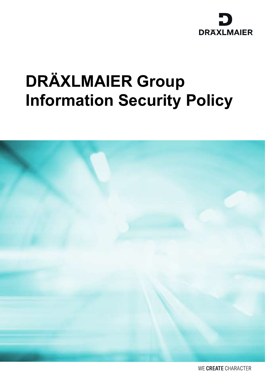

# DRÄXLMAIER Group Information Security Policy